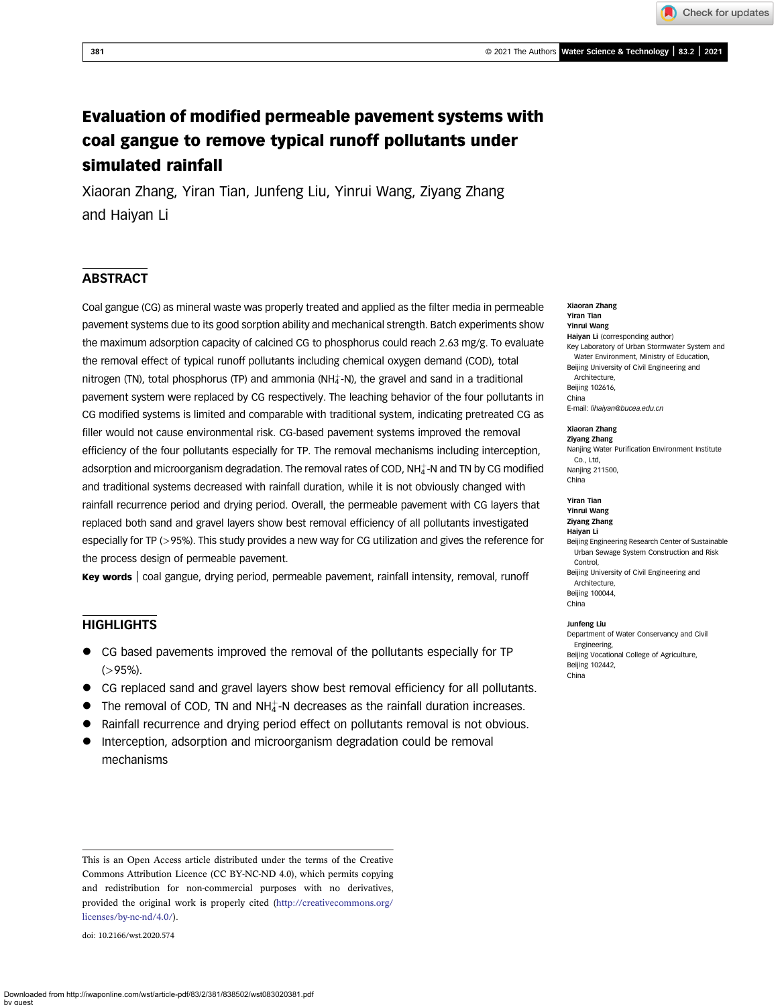Check for updates

# Evaluation of modified permeable pavement systems with coal gangue to remove typical runoff pollutants under simulated rainfall

Xiaoran Zhang, Yiran Tian, Junfeng Liu, Yinrui Wang, Ziyang Zhang and Haiyan Li

## **ABSTRACT**

Coal gangue (CG) as mineral waste was properly treated and applied as the filter media in permeable pavement systems due to its good sorption ability and mechanical strength. Batch experiments show the maximum adsorption capacity of calcined CG to phosphorus could reach 2.63 mg/g. To evaluate the removal effect of typical runoff pollutants including chemical oxygen demand (COD), total nitrogen (TN), total phosphorus (TP) and ammonia (NH $_4^+$ -N), the gravel and sand in a traditional pavement system were replaced by CG respectively. The leaching behavior of the four pollutants in CG modified systems is limited and comparable with traditional system, indicating pretreated CG as filler would not cause environmental risk. CG-based pavement systems improved the removal efficiency of the four pollutants especially for TP. The removal mechanisms including interception, adsorption and microorganism degradation. The removal rates of COD, NH $_4^+$ -N and TN by CG modified and traditional systems decreased with rainfall duration, while it is not obviously changed with rainfall recurrence period and drying period. Overall, the permeable pavement with CG layers that replaced both sand and gravel layers show best removal efficiency of all pollutants investigated especially for TP (>95%). This study provides a new way for CG utilization and gives the reference for the process design of permeable pavement.

Key words | coal gangue, drying period, permeable pavement, rainfall intensity, removal, runoff

## **HIGHLIGHTS**

- CG based pavements improved the removal of the pollutants especially for TP  $( > 95\%).$
- CG replaced sand and gravel layers show best removal efficiency for all pollutants.
- $\bullet$  The removal of COD, TN and NH $_4^+$ -N decreases as the rainfall duration increases.
- Rainfall recurrence and drying period effect on pollutants removal is not obvious.
- Interception, adsorption and microorganism degradation could be removal mechanisms

doi: 10.2166/wst.2020.574

Xiaoran Zhang Yiran Tian Yinrui Wang Haiyan Li (corresponding author) Key Laboratory of Urban Stormwater System and Water Environment, Ministry of Education, Beijing University of Civil Engineering and **Architecture** Beijing 102616, China E-mail: [lihaiyan@bucea.edu.cn](mailto:lihaiyan@bucea.edu.cn)

#### Xiaoran Zhang

Ziyang Zhang Nanjing Water Purification Environment Institute Co., Ltd, Nanjing 211500, China

#### Yiran Tian Yinrui Wang

Ziyang Zhang Haiyan Li Beijing Engineering Research Center of Sustainable Urban Sewage System Construction and Risk Control, Beijing University of Civil Engineering and Architecture, Beijing 100044,

Junfeng Liu

China

Department of Water Conservancy and Civil Engineering, Beijing Vocational College of Agriculture, Beijing 102442, China

This is an Open Access article distributed under the terms of the Creative Commons Attribution Licence (CC BY-NC-ND 4.0), which permits copying and redistribution for non-commercial purposes with no derivatives, provided the original work is properly cited ([http://creativecommons.org/](http://creativecommons.org/licenses/by-nc-nd/4.0/) [licenses/by-nc-nd/4.0/](http://creativecommons.org/licenses/by-nc-nd/4.0/)).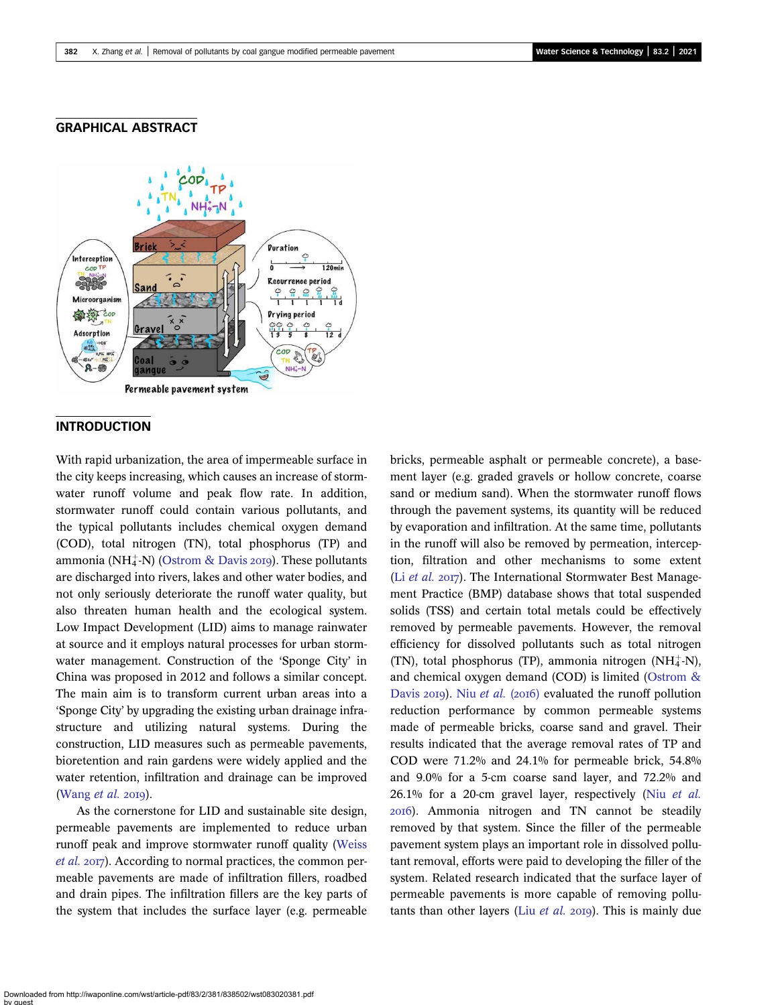#### GRAPHICAL ABSTRACT



## **INTRODUCTION**

With rapid urbanization, the area of impermeable surface in the city keeps increasing, which causes an increase of stormwater runoff volume and peak flow rate. In addition, stormwater runoff could contain various pollutants, and the typical pollutants includes chemical oxygen demand (COD), total nitrogen (TN), total phosphorus (TP) and ammonia (NH $_4^+$ -N) [\(Ostrom & Davis](#page-14-0) 2019). These pollutants are discharged into rivers, lakes and other water bodies, and not only seriously deteriorate the runoff water quality, but also threaten human health and the ecological system. Low Impact Development (LID) aims to manage rainwater at source and it employs natural processes for urban stormwater management. Construction of the 'Sponge City' in China was proposed in 2012 and follows a similar concept. The main aim is to transform current urban areas into a 'Sponge City' by upgrading the existing urban drainage infrastructure and utilizing natural systems. During the construction, LID measures such as permeable pavements, bioretention and rain gardens were widely applied and the water retention, infiltration and drainage can be improved ([Wang](#page-14-0)  $et$  al. 2019).

As the cornerstone for LID and sustainable site design, permeable pavements are implemented to reduce urban runoff peak and improve stormwater runoff quality ([Weiss](#page-14-0) [et al.](#page-14-0) 2017). According to normal practices, the common permeable pavements are made of infiltration fillers, roadbed and drain pipes. The infiltration fillers are the key parts of the system that includes the surface layer (e.g. permeable bricks, permeable asphalt or permeable concrete), a basement layer (e.g. graded gravels or hollow concrete, coarse sand or medium sand). When the stormwater runoff flows through the pavement systems, its quantity will be reduced by evaporation and infiltration. At the same time, pollutants in the runoff will also be removed by permeation, interception, filtration and other mechanisms to some extent (Li [et al.](#page-14-0)  $2017$ ). The International Stormwater Best Management Practice (BMP) database shows that total suspended solids (TSS) and certain total metals could be effectively removed by permeable pavements. However, the removal efficiency for dissolved pollutants such as total nitrogen  $(TN)$ , total phosphorus  $(TP)$ , ammonia nitrogen  $(NH_4^+N)$ , and chemical oxygen demand (COD) is limited [\(Ostrom &](#page-14-0) [Davis](#page-14-0) 2019). Niu [et al.](#page-14-0) (2016) evaluated the runoff pollution reduction performance by common permeable systems made of permeable bricks, coarse sand and gravel. Their results indicated that the average removal rates of TP and COD were 71.2% and 24.1% for permeable brick, 54.8% and 9.0% for a 5-cm coarse sand layer, and 72.2% and 26.1% for a 20-cm gravel layer, respectively (Niu [et al.](#page-14-0) ). Ammonia nitrogen and TN cannot be steadily removed by that system. Since the filler of the permeable pavement system plays an important role in dissolved pollutant removal, efforts were paid to developing the filler of the system. Related research indicated that the surface layer of permeable pavements is more capable of removing pollutants than other layers (Liu *[et al.](#page-14-0)* 2019). This is mainly due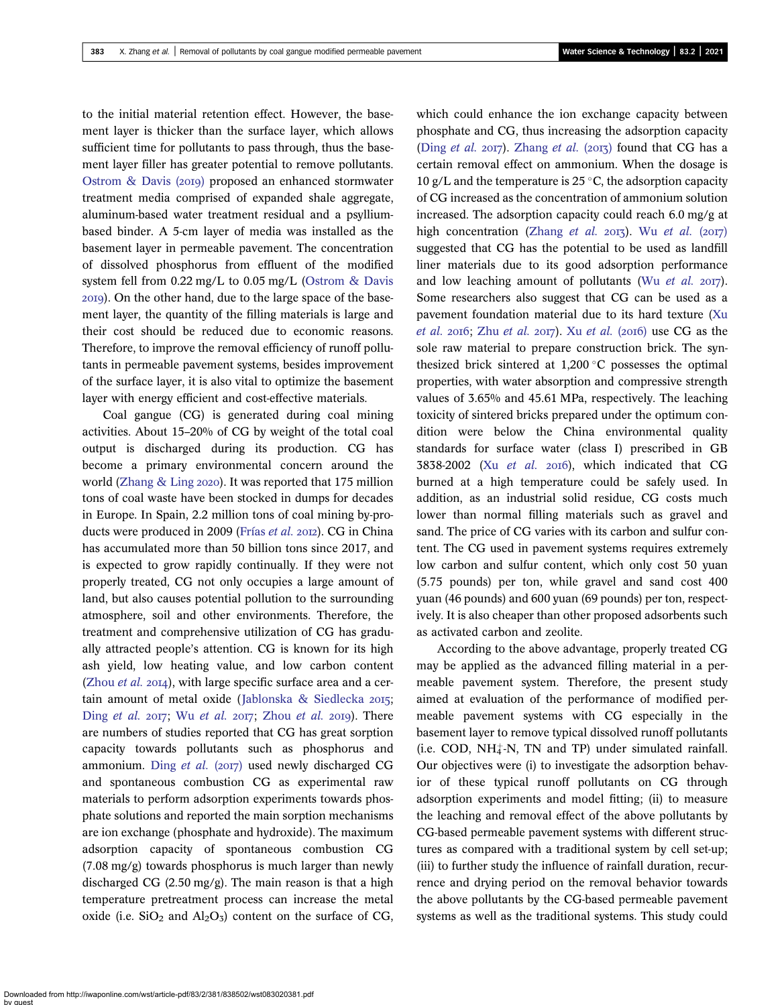to the initial material retention effect. However, the basement layer is thicker than the surface layer, which allows sufficient time for pollutants to pass through, thus the basement layer filler has greater potential to remove pollutants. Ostrom  $\&$  Davis (2019) proposed an enhanced stormwater treatment media comprised of expanded shale aggregate, aluminum-based water treatment residual and a psylliumbased binder. A 5-cm layer of media was installed as the basement layer in permeable pavement. The concentration of dissolved phosphorus from effluent of the modified system fell from 0.22 mg/L to 0.05 mg/L [\(Ostrom & Davis](#page-14-0) ). On the other hand, due to the large space of the basement layer, the quantity of the filling materials is large and their cost should be reduced due to economic reasons. Therefore, to improve the removal efficiency of runoff pollutants in permeable pavement systems, besides improvement of the surface layer, it is also vital to optimize the basement layer with energy efficient and cost-effective materials.

Coal gangue (CG) is generated during coal mining activities. About 15–20% of CG by weight of the total coal output is discharged during its production. CG has become a primary environmental concern around the world (Zhang  $&$  Ling 2020). It was reported that 175 million tons of coal waste have been stocked in dumps for decades in Europe. In Spain, 2.2 million tons of coal mining by-pro-ducts were produced in 2009 [\(Frías](#page-14-0) et al. 2012). CG in China has accumulated more than 50 billion tons since 2017, and is expected to grow rapidly continually. If they were not properly treated, CG not only occupies a large amount of land, but also causes potential pollution to the surrounding atmosphere, soil and other environments. Therefore, the treatment and comprehensive utilization of CG has gradually attracted people's attention. CG is known for its high ash yield, low heating value, and low carbon content [\(Zhou](#page-14-0) et al.  $2014$ ), with large specific surface area and a cer-tain amount of metal oxide ([Jablonska & Siedlecka](#page-14-0) 2015; Ding [et al.](#page-14-0)  $2017$ ; Wu et al.  $2017$ ; [Zhou](#page-14-0) et al.  $2019$ ). There are numbers of studies reported that CG has great sorption capacity towards pollutants such as phosphorus and ammonium. Ding [et al.](#page-14-0) (2017) used newly discharged CG and spontaneous combustion CG as experimental raw materials to perform adsorption experiments towards phosphate solutions and reported the main sorption mechanisms are ion exchange (phosphate and hydroxide). The maximum adsorption capacity of spontaneous combustion CG (7.08 mg/g) towards phosphorus is much larger than newly discharged CG (2.50 mg/g). The main reason is that a high temperature pretreatment process can increase the metal oxide (i.e.  $SiO<sub>2</sub>$  and  $Al<sub>2</sub>O<sub>3</sub>$ ) content on the surface of CG, which could enhance the ion exchange capacity between phosphate and CG, thus increasing the adsorption capacity (Ding [et al.](#page-14-0) 2017). [Zhang](#page-14-0) et al. (2013) found that CG has a certain removal effect on ammonium. When the dosage is 10 g/L and the temperature is 25  $\degree$ C, the adsorption capacity of CG increased as the concentration of ammonium solution increased. The adsorption capacity could reach 6.0 mg/g at high concentration [\(Zhang](#page-14-0) [et al.](#page-14-0)  $2017$ ). Wu et al. ( $2017$ ) suggested that CG has the potential to be used as landfill liner materials due to its good adsorption performance and low leaching amount of pollutants (Wu [et al.](#page-14-0)  $2017$ ). Some researchers also suggest that CG can be used as a pavement foundation material due to its hard texture [\(Xu](#page-14-0) [et al.](#page-14-0) 2016; Zhu et al. 2017). Xu et al. (2016) use  $CG$  as the sole raw material to prepare construction brick. The synthesized brick sintered at  $1,200\textdegree$ C possesses the optimal properties, with water absorption and compressive strength values of 3.65% and 45.61 MPa, respectively. The leaching toxicity of sintered bricks prepared under the optimum condition were below the China environmental quality standards for surface water (class I) prescribed in GB 3838-2002 (Xu [et al.](#page-14-0) 2016), which indicated that CG burned at a high temperature could be safely used. In addition, as an industrial solid residue, CG costs much lower than normal filling materials such as gravel and sand. The price of CG varies with its carbon and sulfur content. The CG used in pavement systems requires extremely low carbon and sulfur content, which only cost 50 yuan (5.75 pounds) per ton, while gravel and sand cost 400 yuan (46 pounds) and 600 yuan (69 pounds) per ton, respectively. It is also cheaper than other proposed adsorbents such as activated carbon and zeolite.

According to the above advantage, properly treated CG may be applied as the advanced filling material in a permeable pavement system. Therefore, the present study aimed at evaluation of the performance of modified permeable pavement systems with CG especially in the basement layer to remove typical dissolved runoff pollutants  $(i.e. COD, NH<sub>4</sub><sup>+</sup>-N, TN and TP) under simulated rainfall.$ Our objectives were (i) to investigate the adsorption behavior of these typical runoff pollutants on CG through adsorption experiments and model fitting; (ii) to measure the leaching and removal effect of the above pollutants by CG-based permeable pavement systems with different structures as compared with a traditional system by cell set-up; (iii) to further study the influence of rainfall duration, recurrence and drying period on the removal behavior towards the above pollutants by the CG-based permeable pavement systems as well as the traditional systems. This study could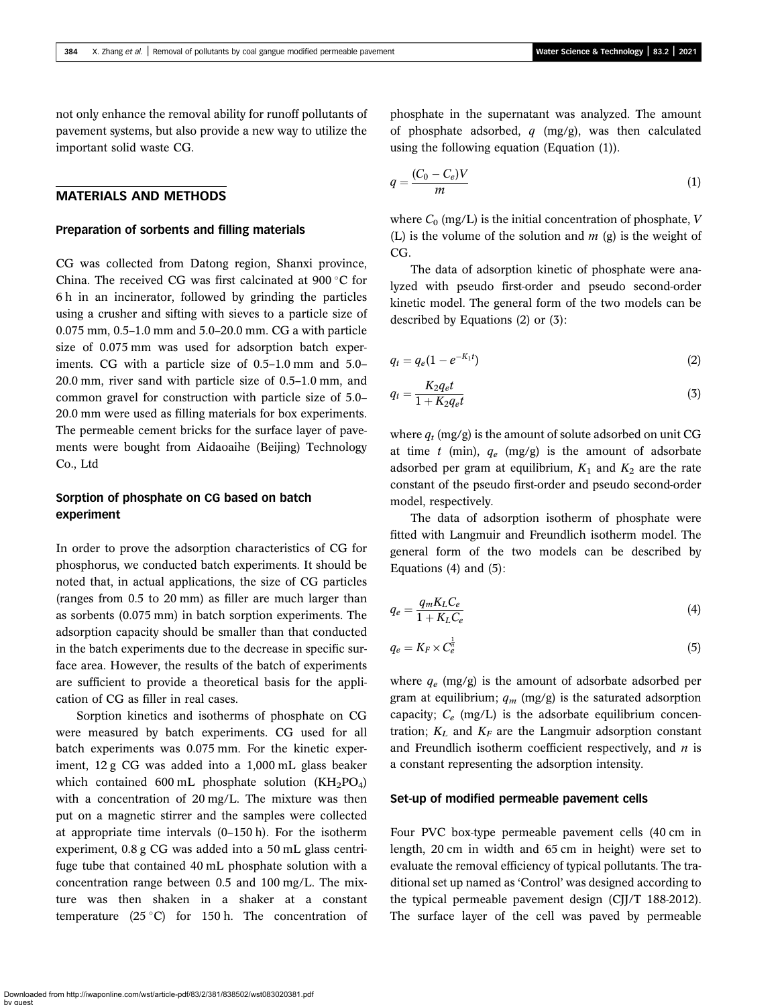not only enhance the removal ability for runoff pollutants of pavement systems, but also provide a new way to utilize the important solid waste CG.

#### MATERIALS AND METHODS

#### Preparation of sorbents and filling materials

CG was collected from Datong region, Shanxi province, China. The received CG was first calcinated at 900 °C for 6 h in an incinerator, followed by grinding the particles using a crusher and sifting with sieves to a particle size of 0.075 mm, 0.5–1.0 mm and 5.0–20.0 mm. CG a with particle size of 0.075 mm was used for adsorption batch experiments. CG with a particle size of 0.5–1.0 mm and 5.0– 20.0 mm, river sand with particle size of 0.5–1.0 mm, and common gravel for construction with particle size of 5.0– 20.0 mm were used as filling materials for box experiments. The permeable cement bricks for the surface layer of pavements were bought from Aidaoaihe (Beijing) Technology Co., Ltd

### Sorption of phosphate on CG based on batch experiment

In order to prove the adsorption characteristics of CG for phosphorus, we conducted batch experiments. It should be noted that, in actual applications, the size of CG particles (ranges from 0.5 to 20 mm) as filler are much larger than as sorbents (0.075 mm) in batch sorption experiments. The adsorption capacity should be smaller than that conducted in the batch experiments due to the decrease in specific surface area. However, the results of the batch of experiments are sufficient to provide a theoretical basis for the application of CG as filler in real cases.

Sorption kinetics and isotherms of phosphate on CG were measured by batch experiments. CG used for all batch experiments was 0.075 mm. For the kinetic experiment, 12 g CG was added into a 1,000 mL glass beaker which contained 600 mL phosphate solution  $(KH_2PO_4)$ with a concentration of 20 mg/L. The mixture was then put on a magnetic stirrer and the samples were collected at appropriate time intervals (0–150 h). For the isotherm experiment, 0.8 g CG was added into a 50 mL glass centrifuge tube that contained 40 mL phosphate solution with a concentration range between 0.5 and 100 mg/L. The mixture was then shaken in a shaker at a constant temperature  $(25 \degree C)$  for 150 h. The concentration of

phosphate in the supernatant was analyzed. The amount of phosphate adsorbed,  $q$  (mg/g), was then calculated using the following equation (Equation (1)).

$$
q = \frac{(C_0 - C_e)V}{m} \tag{1}
$$

where  $C_0$  (mg/L) is the initial concentration of phosphate, V (L) is the volume of the solution and  $m$  (g) is the weight of CG.

The data of adsorption kinetic of phosphate were analyzed with pseudo first-order and pseudo second-order kinetic model. The general form of the two models can be described by Equations (2) or (3):

$$
q_t = q_e (1 - e^{-K_1 t}) \tag{2}
$$

$$
q_t = \frac{K_2 q_e t}{1 + K_2 q_e t} \tag{3}
$$

where  $q_t$  (mg/g) is the amount of solute adsorbed on unit CG at time t (min),  $q_e$  (mg/g) is the amount of adsorbate adsorbed per gram at equilibrium,  $K_1$  and  $K_2$  are the rate constant of the pseudo first-order and pseudo second-order model, respectively.

The data of adsorption isotherm of phosphate were fitted with Langmuir and Freundlich isotherm model. The general form of the two models can be described by Equations  $(4)$  and  $(5)$ :

$$
q_e = \frac{q_m K_L C_e}{1 + K_L C_e} \tag{4}
$$

$$
q_e = K_F \times C_e^{\frac{1}{n}} \tag{5}
$$

where  $q_e$  (mg/g) is the amount of adsorbate adsorbed per gram at equilibrium;  $q_m$  (mg/g) is the saturated adsorption capacity;  $C_e$  (mg/L) is the adsorbate equilibrium concentration;  $K_L$  and  $K_F$  are the Langmuir adsorption constant and Freundlich isotherm coefficient respectively, and  $n$  is a constant representing the adsorption intensity.

#### Set-up of modified permeable pavement cells

Four PVC box-type permeable pavement cells (40 cm in length, 20 cm in width and 65 cm in height) were set to evaluate the removal efficiency of typical pollutants. The traditional set up named as 'Control' was designed according to the typical permeable pavement design (CJJ/T 188-2012). The surface layer of the cell was paved by permeable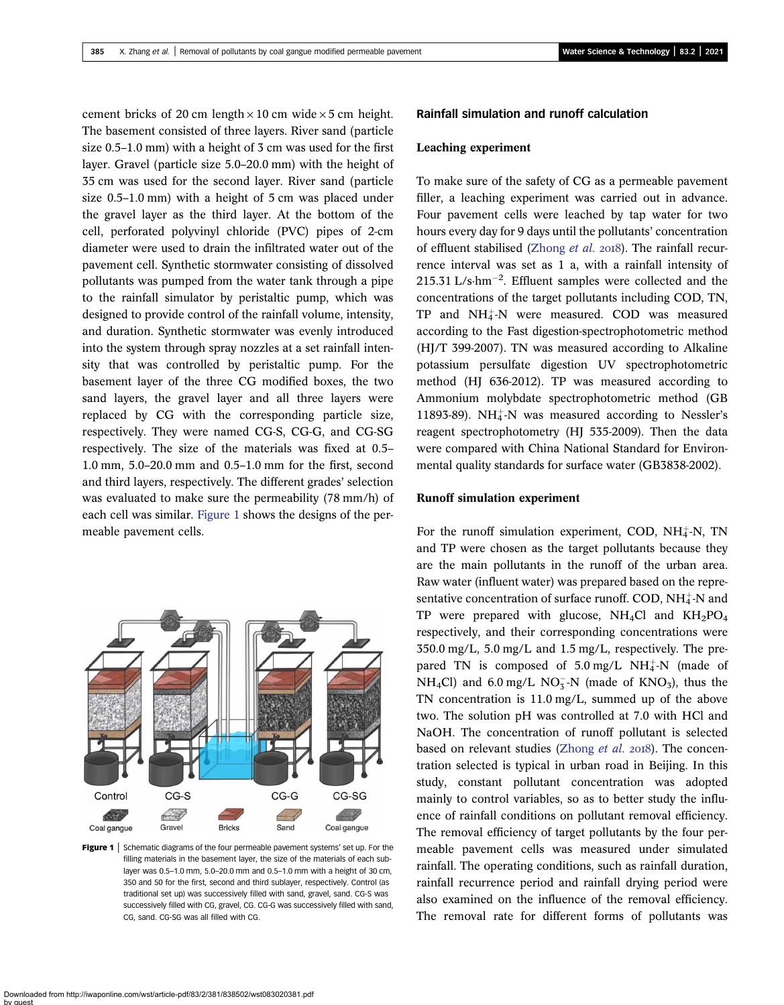cement bricks of 20 cm length  $\times$  10 cm wide  $\times$  5 cm height. The basement consisted of three layers. River sand (particle size 0.5–1.0 mm) with a height of 3 cm was used for the first layer. Gravel (particle size 5.0–20.0 mm) with the height of 35 cm was used for the second layer. River sand (particle size 0.5–1.0 mm) with a height of 5 cm was placed under the gravel layer as the third layer. At the bottom of the cell, perforated polyvinyl chloride (PVC) pipes of 2-cm diameter were used to drain the infiltrated water out of the pavement cell. Synthetic stormwater consisting of dissolved pollutants was pumped from the water tank through a pipe to the rainfall simulator by peristaltic pump, which was designed to provide control of the rainfall volume, intensity, and duration. Synthetic stormwater was evenly introduced into the system through spray nozzles at a set rainfall intensity that was controlled by peristaltic pump. For the basement layer of the three CG modified boxes, the two sand layers, the gravel layer and all three layers were replaced by CG with the corresponding particle size, respectively. They were named CG-S, CG-G, and CG-SG respectively. The size of the materials was fixed at 0.5– 1.0 mm, 5.0–20.0 mm and 0.5–1.0 mm for the first, second and third layers, respectively. The different grades' selection was evaluated to make sure the permeability (78 mm/h) of each cell was similar. Figure 1 shows the designs of the permeable pavement cells.



Figure 1 | Schematic diagrams of the four permeable pavement systems' set up. For the filling materials in the basement layer, the size of the materials of each sublayer was 0.5–1.0 mm, 5.0–20.0 mm and 0.5–1.0 mm with a height of 30 cm, 350 and 50 for the first, second and third sublayer, respectively. Control (as traditional set up) was successively filled with sand, gravel, sand. CG-S was successively filled with CG, gravel, CG. CG-G was successively filled with sand, CG, sand. CG-SG was all filled with CG.

#### Rainfall simulation and runoff calculation

#### Leaching experiment

To make sure of the safety of CG as a permeable pavement filler, a leaching experiment was carried out in advance. Four pavement cells were leached by tap water for two hours every day for 9 days until the pollutants' concentration of effluent stabilised ([Zhong](#page-14-0) et al.  $2018$ ). The rainfall recurrence interval was set as 1 a, with a rainfall intensity of 215.31 L/s $\cdot$ hm<sup>-2</sup>. Effluent samples were collected and the concentrations of the target pollutants including COD, TN,  $TP$  and  $NH_4^+$ -N were measured.  $COD$  was measured according to the Fast digestion-spectrophotometric method (HJ/T 399-2007). TN was measured according to Alkaline potassium persulfate digestion UV spectrophotometric method (HJ 636-2012). TP was measured according to Ammonium molybdate spectrophotometric method (GB 11893-89). NH $_4^+$ -N was measured according to Nessler's reagent spectrophotometry (HJ 535-2009). Then the data were compared with China National Standard for Environmental quality standards for surface water (GB3838-2002).

#### Runoff simulation experiment

For the runoff simulation experiment, COD,  $NH_4^+N$ , TN and TP were chosen as the target pollutants because they are the main pollutants in the runoff of the urban area. Raw water (influent water) was prepared based on the representative concentration of surface runoff.  $\text{COD}, \text{NH}_4^+\text{-N}$  and TP were prepared with glucose,  $NH<sub>4</sub>Cl$  and  $KH<sub>2</sub>PO<sub>4</sub>$ respectively, and their corresponding concentrations were 350.0 mg/L, 5.0 mg/L and 1.5 mg/L, respectively. The prepared TN is composed of  $5.0 \text{ mg/L}$  NH $_4^+$ -N (made of  $NH_4Cl$ ) and 6.0 mg/L  $NO_3^-N$  (made of  $KNO_3$ ), thus the TN concentration is 11.0 mg/L, summed up of the above two. The solution pH was controlled at 7.0 with HCl and NaOH. The concentration of runoff pollutant is selected based on relevant studies [\(Zhong](#page-14-0) et al. 2018). The concentration selected is typical in urban road in Beijing. In this study, constant pollutant concentration was adopted mainly to control variables, so as to better study the influence of rainfall conditions on pollutant removal efficiency. The removal efficiency of target pollutants by the four permeable pavement cells was measured under simulated rainfall. The operating conditions, such as rainfall duration, rainfall recurrence period and rainfall drying period were also examined on the influence of the removal efficiency. The removal rate for different forms of pollutants was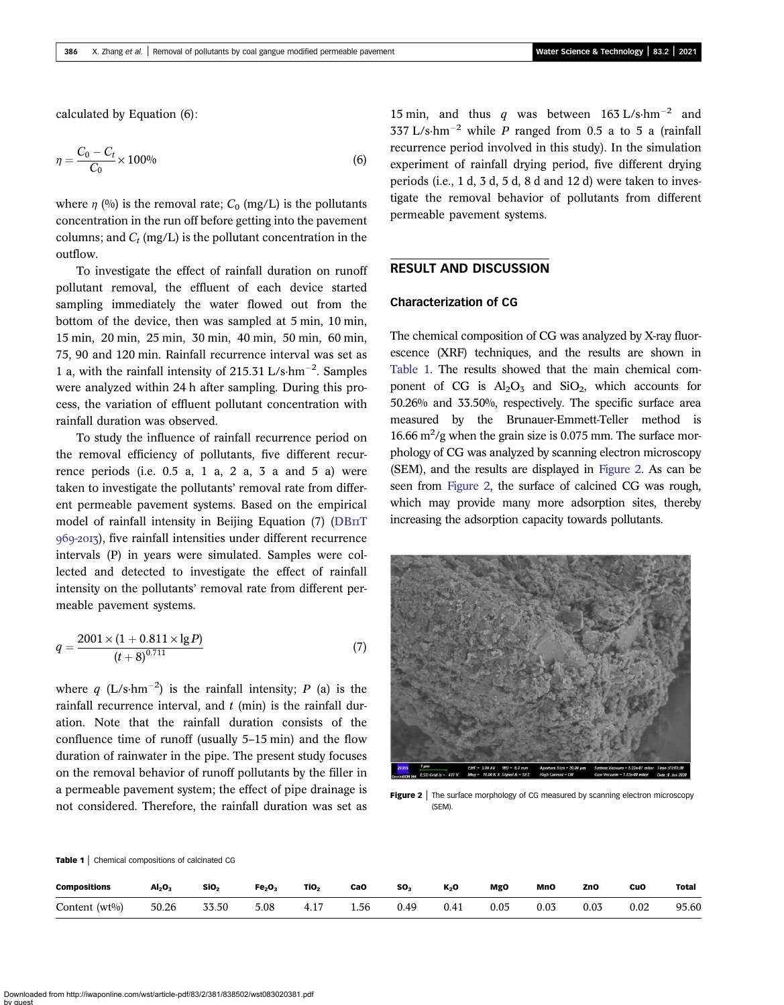<span id="page-5-0"></span>calculated by Equation (6):

$$
\eta = \frac{C_0 - C_t}{C_0} \times 100\%
$$
\n(6)

where  $\eta$  (%) is the removal rate;  $C_0$  (mg/L) is the pollutants concentration in the run off before getting into the pavement columns; and  $C_t$  (mg/L) is the pollutant concentration in the outflow.

To investigate the effect of rainfall duration on runoff pollutant removal, the effluent of each device started sampling immediately the water flowed out from the bottom of the device, then was sampled at 5 min, 10 min, 15 min, 20 min, 25 min, 30 min, 40 min, 50 min, 60 min, 75, 90 and 120 min. Rainfall recurrence interval was set as 1 a, with the rainfall intensity of 215.31 L/s·hm<sup>-2</sup>. Samples were analyzed within 24 h after sampling. During this process, the variation of effluent pollutant concentration with rainfall duration was observed.

To study the influence of rainfall recurrence period on the removal efficiency of pollutants, five different recurrence periods (i.e.  $0.5$  a,  $1$  a,  $2$  a,  $3$  a and  $5$  a) were taken to investigate the pollutants' removal rate from different permeable pavement systems. Based on the empirical model of rainfall intensity in Beijing Equation  $(7)$  ([DB](#page-14-0) $\text{IIT}$ ) 969-2013), five rainfall intensities under different recurrence intervals (P) in years were simulated. Samples were collected and detected to investigate the effect of rainfall intensity on the pollutants' removal rate from different permeable pavement systems.

$$
q = \frac{2001 \times (1 + 0.811 \times \lg P)}{(t + 8)^{0.711}}\tag{7}
$$

where q (L/s·hm<sup>-2</sup>) is the rainfall intensity; P (a) is the rainfall recurrence interval, and  $t$  (min) is the rainfall duration. Note that the rainfall duration consists of the confluence time of runoff (usually 5–15 min) and the flow duration of rainwater in the pipe. The present study focuses on the removal behavior of runoff pollutants by the filler in a permeable pavement system; the effect of pipe drainage is not considered. Therefore, the rainfall duration was set as 15 min, and thus q was between 163 L/s·hm<sup>-2</sup> and 337 L/s·hm<sup>-2</sup> while P ranged from 0.5 a to 5 a (rainfall recurrence period involved in this study). In the simulation experiment of rainfall drying period, five different drying periods (i.e., 1 d, 3 d, 5 d, 8 d and 12 d) were taken to investigate the removal behavior of pollutants from different permeable pavement systems.

#### RESULT AND DISCUSSION

#### Characterization of CG

The chemical composition of CG was analyzed by X-ray fluorescence (XRF) techniques, and the results are shown in Table 1. The results showed that the main chemical component of CG is  $Al_2O_3$  and SiO<sub>2</sub>, which accounts for 50.26% and 33.50%, respectively. The specific surface area measured by the Brunauer-Emmett-Teller method is 16.66  $\text{m}^2/\text{g}$  when the grain size is 0.075 mm. The surface morphology of CG was analyzed by scanning electron microscopy (SEM), and the results are displayed in Figure 2. As can be seen from Figure 2, the surface of calcined CG was rough, which may provide many more adsorption sites, thereby increasing the adsorption capacity towards pollutants.



Figure 2 | The surface morphology of CG measured by scanning electron microscopy (SEM).

Table 1 | Chemical compositions of calcinated CG

| <b>Compositions</b> | Al <sub>2</sub> O <sub>3</sub> | SiO <sub>2</sub> | Fe <sub>2</sub> O <sub>3</sub> | TiO <sub>2</sub> | CaO  | SO <sub>2</sub> | K <sub>2</sub> O | <b>MgO</b> | MnO  | ZnO  | CuO  | <b>Total</b> |
|---------------------|--------------------------------|------------------|--------------------------------|------------------|------|-----------------|------------------|------------|------|------|------|--------------|
| Content $(wt\%)$    | 50.26                          | 33.50            | 5.08                           | 4.17             | 1.56 | 0.49            | 0.41             | 0.05       | 0.03 | 0.03 | 0.02 | 95.60        |

Downloaded from http://iwaponline.com/wst/article-pdf/83/2/381/838502/wst083020381.pdf by guest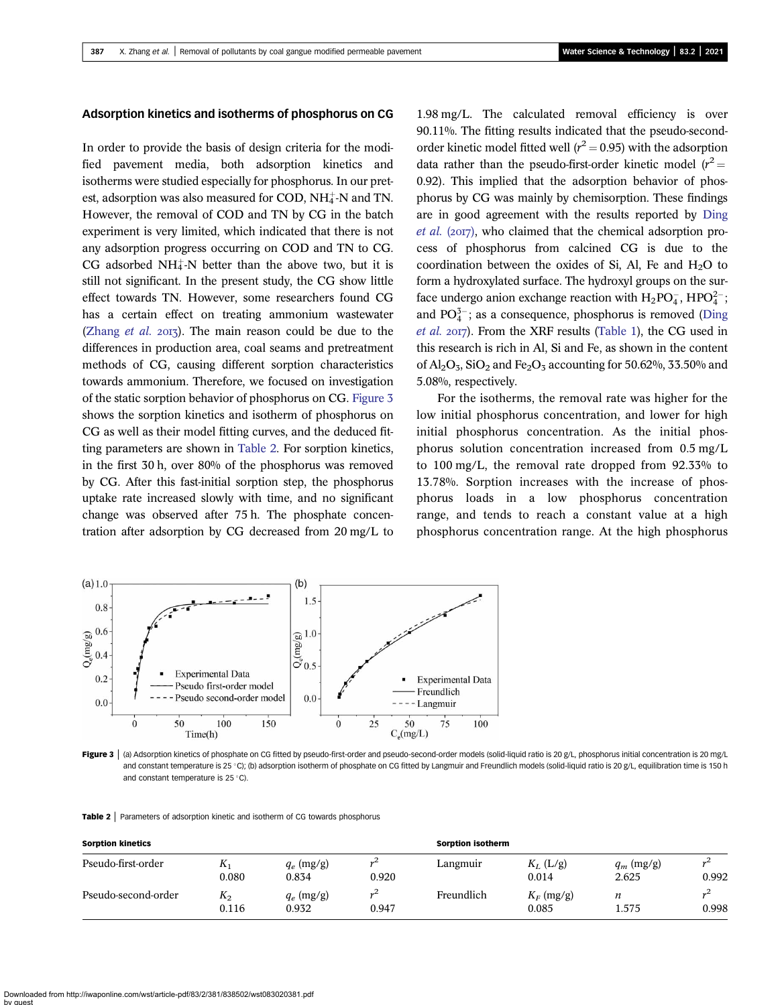#### Adsorption kinetics and isotherms of phosphorus on CG

In order to provide the basis of design criteria for the modified pavement media, both adsorption kinetics and isotherms were studied especially for phosphorus. In our pretest, adsorption was also measured for COD,  $NH_4^+$ -N and TN. However, the removal of COD and TN by CG in the batch experiment is very limited, which indicated that there is not any adsorption progress occurring on COD and TN to CG. CG adsorbed  $NH_4^+$ -N better than the above two, but it is still not significant. In the present study, the CG show little effect towards TN. However, some researchers found CG has a certain effect on treating ammonium wastewater [\(Zhang](#page-14-0) *et al.*  $2013$ ). The main reason could be due to the differences in production area, coal seams and pretreatment methods of CG, causing different sorption characteristics towards ammonium. Therefore, we focused on investigation of the static sorption behavior of phosphorus on CG. Figure 3 shows the sorption kinetics and isotherm of phosphorus on CG as well as their model fitting curves, and the deduced fitting parameters are shown in Table 2. For sorption kinetics, in the first 30 h, over 80% of the phosphorus was removed by CG. After this fast-initial sorption step, the phosphorus uptake rate increased slowly with time, and no significant change was observed after 75 h. The phosphate concentration after adsorption by CG decreased from 20 mg/L to 1.98 mg/L. The calculated removal efficiency is over 90.11%. The fitting results indicated that the pseudo-secondorder kinetic model fitted well ( $r^2 = 0.95$ ) with the adsorption data rather than the pseudo-first-order kinetic model  $(r^2 =$ 0.92). This implied that the adsorption behavior of phosphorus by CG was mainly by chemisorption. These findings are in good agreement with the results reported by [Ding](#page-14-0) *[et al.](#page-14-0)* ( $20I7$ ), who claimed that the chemical adsorption process of phosphorus from calcined CG is due to the coordination between the oxides of Si, Al, Fe and  $H<sub>2</sub>O$  to form a hydroxylated surface. The hydroxyl groups on the surface undergo anion exchange reaction with  $H_2PO_4^-$ ,  $HPO_4^{2-}$ ; and  $PO_4^{3-}$ ; as a consequence, phosphorus is removed [\(Ding](#page-14-0) [et al.](#page-14-0) 2017). From the XRF results [\(Table 1](#page-5-0)), the CG used in this research is rich in Al, Si and Fe, as shown in the content of  $Al_2O_3$ , SiO<sub>2</sub> and Fe<sub>2</sub>O<sub>3</sub> accounting for 50.62%, 33.50% and 5.08%, respectively.

For the isotherms, the removal rate was higher for the low initial phosphorus concentration, and lower for high initial phosphorus concentration. As the initial phosphorus solution concentration increased from 0.5 mg/L to 100 mg/L, the removal rate dropped from 92.33% to 13.78%. Sorption increases with the increase of phosphorus loads in a low phosphorus concentration range, and tends to reach a constant value at a high phosphorus concentration range. At the high phosphorus



**Figure 3** (a) Adsorption kinetics of phosphate on CG fitted by pseudo-first-order and pseudo-second-order models (solid-liquid ratio is 20 g/L, phosphorus initial concentration is 20 mg/L and constant temperature is 25 °C); (b) adsorption isotherm of phosphate on CG fitted by Langmuir and Freundlich models (solid-liquid ratio is 20 g/L, equilibration time is 150 h and constant temperature is 25  $^{\circ}$ C).

|  |  | Table 2   Parameters of adsorption kinetic and isotherm of CG towards phosphorus |  |  |  |  |  |
|--|--|----------------------------------------------------------------------------------|--|--|--|--|--|
|--|--|----------------------------------------------------------------------------------|--|--|--|--|--|

| <b>Sorption kinetics</b> |                |                       |                               | <b>Sorption isotherm</b> |                       |                       |       |  |  |
|--------------------------|----------------|-----------------------|-------------------------------|--------------------------|-----------------------|-----------------------|-------|--|--|
| Pseudo-first-order       | $K_1$<br>0.080 | $q_e$ (mg/g)<br>0.834 | $\cdot$ <sup>2</sup><br>0.920 | Langmuir                 | $K_L$ (L/g)<br>0.014  | $q_m$ (mg/g)<br>2.625 | 0.992 |  |  |
| Pseudo-second-order      | $K_2$<br>0.116 | $q_e$ (mg/g)<br>0.932 | 0.947                         | Freundlich               | $K_F$ (mg/g)<br>0.085 | n<br>1.575            | 0.998 |  |  |

Downloaded from http://iwaponline.com/wst/article-pdf/83/2/381/838502/wst083020381.pdf by guest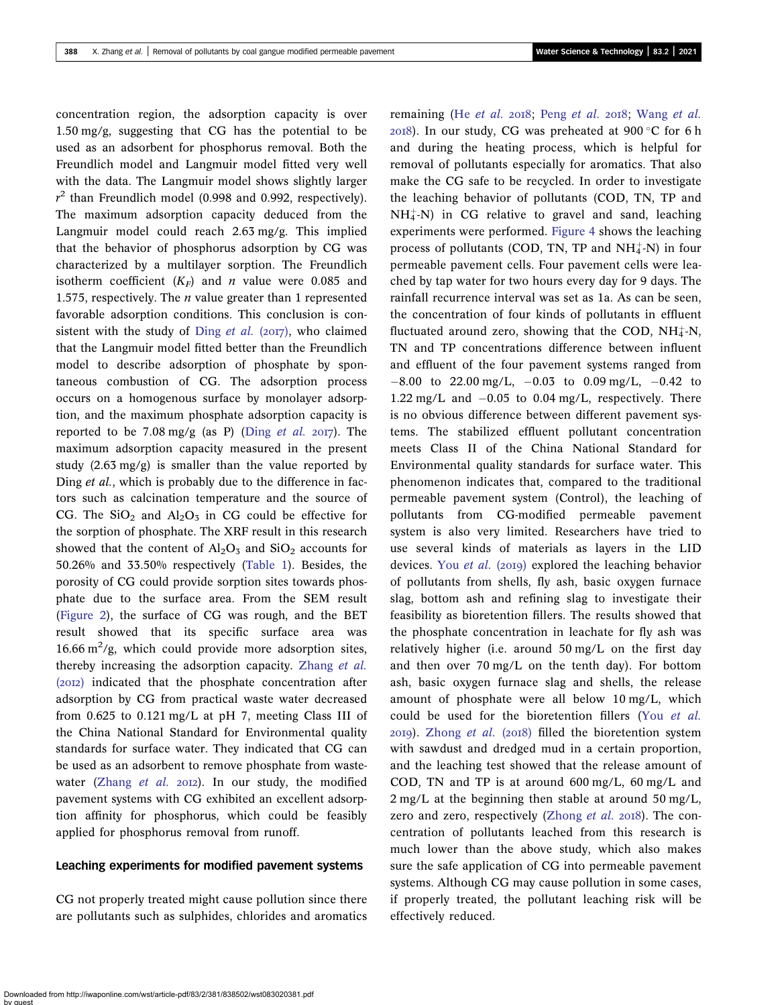concentration region, the adsorption capacity is over 1.50 mg/g, suggesting that CG has the potential to be used as an adsorbent for phosphorus removal. Both the Freundlich model and Langmuir model fitted very well with the data. The Langmuir model shows slightly larger  $r^2$  than Freundlich model (0.998 and 0.992, respectively). The maximum adsorption capacity deduced from the Langmuir model could reach 2.63 mg/g. This implied that the behavior of phosphorus adsorption by CG was characterized by a multilayer sorption. The Freundlich isotherm coefficient  $(K_F)$  and *n* value were 0.085 and 1.575, respectively. The  $n$  value greater than 1 represented favorable adsorption conditions. This conclusion is consistent with the study of Ding [et al.](#page-14-0) ( $2017$ ), who claimed that the Langmuir model fitted better than the Freundlich model to describe adsorption of phosphate by spontaneous combustion of CG. The adsorption process occurs on a homogenous surface by monolayer adsorption, and the maximum phosphate adsorption capacity is reported to be 7.08 mg/g (as P) (Ding [et al.](#page-14-0) 2017). The maximum adsorption capacity measured in the present study  $(2.63 \text{ mg/g})$  is smaller than the value reported by Ding *et al.*, which is probably due to the difference in factors such as calcination temperature and the source of CG. The  $SiO<sub>2</sub>$  and  $Al<sub>2</sub>O<sub>3</sub>$  in CG could be effective for the sorption of phosphate. The XRF result in this research showed that the content of  $Al_2O_3$  and  $SiO_2$  accounts for 50.26% and 33.50% respectively [\(Table 1\)](#page-5-0). Besides, the porosity of CG could provide sorption sites towards phosphate due to the surface area. From the SEM result ([Figure 2\)](#page-5-0), the surface of CG was rough, and the BET result showed that its specific surface area was 16.66  $\mathrm{m}^2/\mathrm{g}$ , which could provide more adsorption sites, thereby increasing the adsorption capacity. [Zhang](#page-14-0) et al. (2012) indicated that the phosphate concentration after adsorption by CG from practical waste water decreased from 0.625 to 0.121 mg/L at pH 7, meeting Class III of the China National Standard for Environmental quality standards for surface water. They indicated that CG can be used as an adsorbent to remove phosphate from waste-water ([Zhang](#page-14-0) et al.  $20I2$ ). In our study, the modified pavement systems with CG exhibited an excellent adsorption affinity for phosphorus, which could be feasibly applied for phosphorus removal from runoff.

#### Leaching experiments for modified pavement systems

CG not properly treated might cause pollution since there are pollutants such as sulphides, chlorides and aromatics remaining (He [et al.](#page-14-0) 2018; Peng et al. 2018; [Wang](#page-14-0) et al.  $2018$ ). In our study, CG was preheated at 900 °C for 6 h and during the heating process, which is helpful for removal of pollutants especially for aromatics. That also make the CG safe to be recycled. In order to investigate the leaching behavior of pollutants (COD, TN, TP and  $NH_4^+$ -N) in CG relative to gravel and sand, leaching experiments were performed. [Figure 4](#page-8-0) shows the leaching process of pollutants (COD, TN, TP and  $NH_4^+$ -N) in four permeable pavement cells. Four pavement cells were leached by tap water for two hours every day for 9 days. The rainfall recurrence interval was set as 1a. As can be seen, the concentration of four kinds of pollutants in effluent fluctuated around zero, showing that the COD,  $NH_4^+$ -N, TN and TP concentrations difference between influent and effluent of the four pavement systems ranged from  $-8.00$  to 22.00 mg/L,  $-0.03$  to 0.09 mg/L,  $-0.42$  to 1.22 mg/L and  $-0.05$  to 0.04 mg/L, respectively. There is no obvious difference between different pavement systems. The stabilized effluent pollutant concentration meets Class II of the China National Standard for Environmental quality standards for surface water. This phenomenon indicates that, compared to the traditional permeable pavement system (Control), the leaching of pollutants from CG-modified permeable pavement system is also very limited. Researchers have tried to use several kinds of materials as layers in the LID devices. You [et al.](#page-14-0)  $(2019)$  explored the leaching behavior of pollutants from shells, fly ash, basic oxygen furnace slag, bottom ash and refining slag to investigate their feasibility as bioretention fillers. The results showed that the phosphate concentration in leachate for fly ash was relatively higher (i.e. around 50 mg/L on the first day and then over 70 mg/L on the tenth day). For bottom ash, basic oxygen furnace slag and shells, the release amount of phosphate were all below 10 mg/L, which could be used for the bioretention fillers (You [et al.](#page-14-0)  $2019$ ). [Zhong](#page-14-0) *et al.* ( $2018$ ) filled the bioretention system with sawdust and dredged mud in a certain proportion, and the leaching test showed that the release amount of COD, TN and TP is at around 600 mg/L, 60 mg/L and 2 mg/L at the beginning then stable at around 50 mg/L, zero and zero, respectively [\(Zhong](#page-14-0) et al. 2018). The concentration of pollutants leached from this research is much lower than the above study, which also makes sure the safe application of CG into permeable pavement systems. Although CG may cause pollution in some cases, if properly treated, the pollutant leaching risk will be effectively reduced.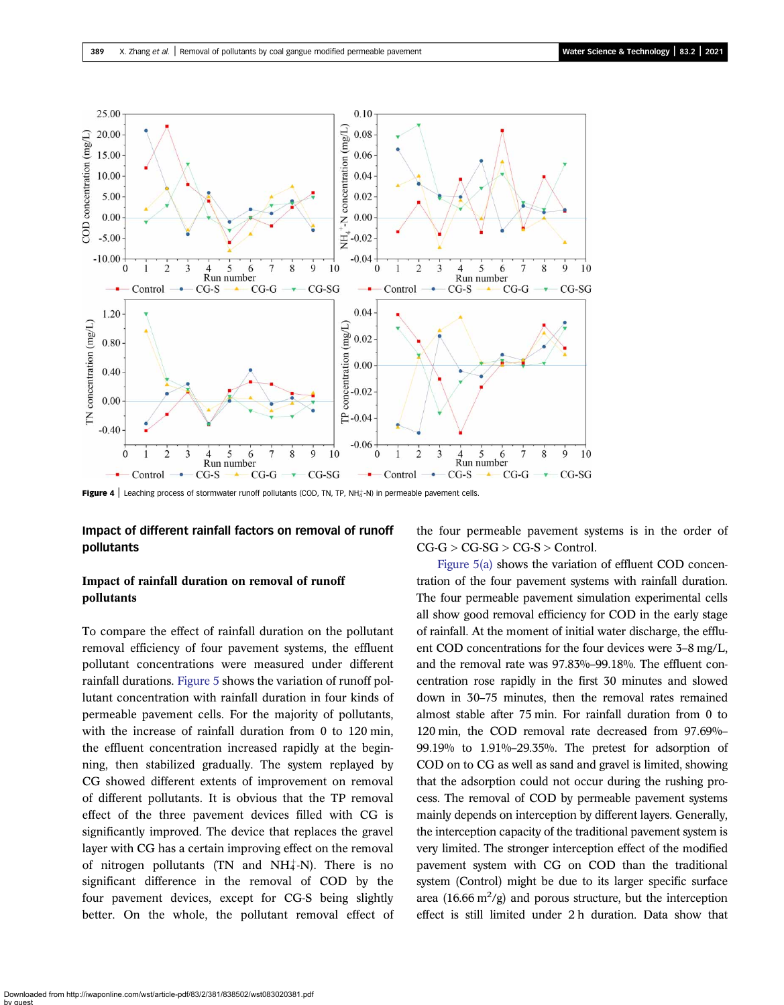<span id="page-8-0"></span>

Figure 4 | Leaching process of stormwater runoff pollutants (COD, TN, TP, NH $_4^+$ -N) in permeable pavement cells.

#### Impact of different rainfall factors on removal of runoff pollutants

### Impact of rainfall duration on removal of runoff pollutants

To compare the effect of rainfall duration on the pollutant removal efficiency of four pavement systems, the effluent pollutant concentrations were measured under different rainfall durations. [Figure 5](#page-9-0) shows the variation of runoff pollutant concentration with rainfall duration in four kinds of permeable pavement cells. For the majority of pollutants, with the increase of rainfall duration from 0 to 120 min, the effluent concentration increased rapidly at the beginning, then stabilized gradually. The system replayed by CG showed different extents of improvement on removal of different pollutants. It is obvious that the TP removal effect of the three pavement devices filled with CG is significantly improved. The device that replaces the gravel layer with CG has a certain improving effect on the removal of nitrogen pollutants (TN and  $NH_4^+$ -N). There is no significant difference in the removal of COD by the four pavement devices, except for CG-S being slightly better. On the whole, the pollutant removal effect of the four permeable pavement systems is in the order of  $CG-G > CG-SG > CG-S >$  Control.

[Figure 5\(a\)](#page-9-0) shows the variation of effluent COD concentration of the four pavement systems with rainfall duration. The four permeable pavement simulation experimental cells all show good removal efficiency for COD in the early stage of rainfall. At the moment of initial water discharge, the effluent COD concentrations for the four devices were 3–8 mg/L, and the removal rate was 97.83%–99.18%. The effluent concentration rose rapidly in the first 30 minutes and slowed down in 30–75 minutes, then the removal rates remained almost stable after 75 min. For rainfall duration from 0 to 120 min, the COD removal rate decreased from 97.69%– 99.19% to 1.91%–29.35%. The pretest for adsorption of COD on to CG as well as sand and gravel is limited, showing that the adsorption could not occur during the rushing process. The removal of COD by permeable pavement systems mainly depends on interception by different layers. Generally, the interception capacity of the traditional pavement system is very limited. The stronger interception effect of the modified pavement system with CG on COD than the traditional system (Control) might be due to its larger specific surface area (16.66  $\text{m}^2/\text{g}$ ) and porous structure, but the interception effect is still limited under 2 h duration. Data show that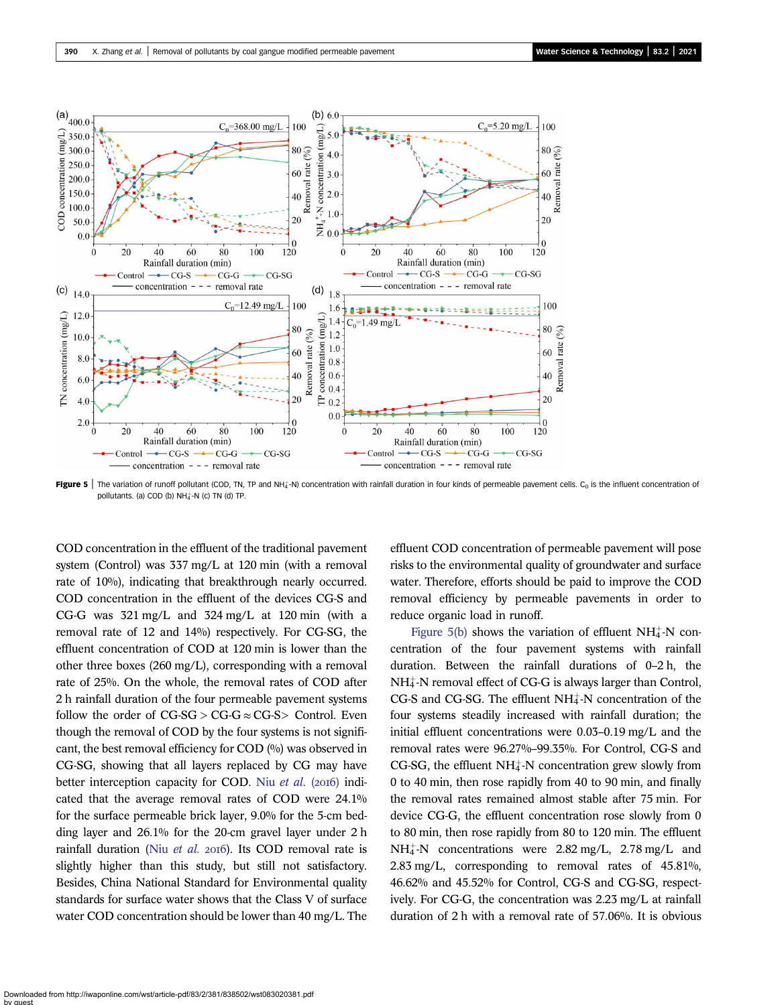<span id="page-9-0"></span>

Figure 5 | The variation of runoff pollutant (COD, TN, TP and NH $_4^+$ -N) concentration with rainfall duration in four kinds of permeable pavement cells. C<sub>0</sub> is the influent concentration of pollutants. (a) COD (b) NH $_4^+$ -N (c) TN (d) TP.

COD concentration in the effluent of the traditional pavement system (Control) was 337 mg/L at 120 min (with a removal rate of 10%), indicating that breakthrough nearly occurred. COD concentration in the effluent of the devices CG-S and CG-G was 321 mg/L and 324 mg/L at 120 min (with a removal rate of 12 and 14%) respectively. For CG-SG, the effluent concentration of COD at 120 min is lower than the other three boxes (260 mg/L), corresponding with a removal rate of 25%. On the whole, the removal rates of COD after 2 h rainfall duration of the four permeable pavement systems follow the order of  $CG-SG > CG-G \approx CG-S >$  Control. Even though the removal of COD by the four systems is not significant, the best removal efficiency for COD (%) was observed in CG-SG, showing that all layers replaced by CG may have better interception capacity for COD. Niu [et al.](#page-14-0) (2016) indicated that the average removal rates of COD were 24.1% for the surface permeable brick layer, 9.0% for the 5-cm bedding layer and 26.1% for the 20-cm gravel layer under 2 h rainfall duration (Niu [et al.](#page-14-0) 2016). Its COD removal rate is slightly higher than this study, but still not satisfactory. Besides, China National Standard for Environmental quality standards for surface water shows that the Class V of surface water COD concentration should be lower than 40 mg/L. The effluent COD concentration of permeable pavement will pose risks to the environmental quality of groundwater and surface water. Therefore, efforts should be paid to improve the COD removal efficiency by permeable pavements in order to reduce organic load in runoff.

Figure  $5(b)$  shows the variation of effluent NH $_4^+$ -N concentration of the four pavement systems with rainfall duration. Between the rainfall durations of 0–2 h, the  $NH_4^+$ -N removal effect of CG-G is always larger than Control, CG-S and CG-SG. The effluent NH<sup>+</sup>-N concentration of the four systems steadily increased with rainfall duration; the initial effluent concentrations were 0.03–0.19 mg/L and the removal rates were 96.27%–99.35%. For Control, CG-S and CG-SG, the effluent NH $_4^+$ -N concentration grew slowly from 0 to 40 min, then rose rapidly from 40 to 90 min, and finally the removal rates remained almost stable after 75 min. For device CG-G, the effluent concentration rose slowly from 0 to 80 min, then rose rapidly from 80 to 120 min. The effluent  $NH_4^+$ -N concentrations were 2.82 mg/L, 2.78 mg/L and 2.83 mg/L, corresponding to removal rates of 45.81%, 46.62% and 45.52% for Control, CG-S and CG-SG, respectively. For CG-G, the concentration was 2.23 mg/L at rainfall duration of 2 h with a removal rate of 57.06%. It is obvious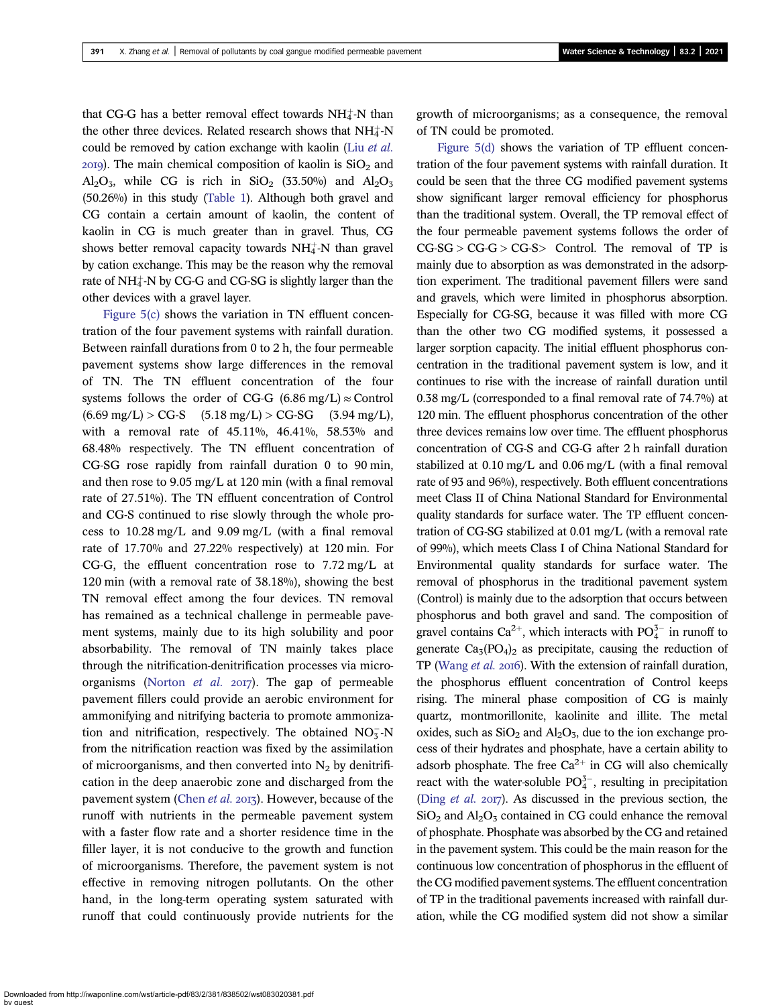that CG-G has a better removal effect towards  $NH_4^+$ -N than the other three devices. Related research shows that  $NH<sub>4</sub><sup>+</sup>-N$ could be removed by cation exchange with kaolin (Liu [et al.](#page-14-0)  $20I9$ ). The main chemical composition of kaolin is  $SiO<sub>2</sub>$  and  $Al_2O_3$ , while CG is rich in SiO<sub>2</sub> (33.50%) and  $Al_2O_3$ (50.26%) in this study [\(Table 1\)](#page-5-0). Although both gravel and CG contain a certain amount of kaolin, the content of kaolin in CG is much greater than in gravel. Thus, CG shows better removal capacity towards  $NH_4^+$ -N than gravel by cation exchange. This may be the reason why the removal rate of  $NH_4^+$ -N by CG-G and CG-SG is slightly larger than the other devices with a gravel layer.

Figure  $5(c)$  shows the variation in TN effluent concentration of the four pavement systems with rainfall duration. Between rainfall durations from 0 to 2 h, the four permeable pavement systems show large differences in the removal of TN. The TN effluent concentration of the four systems follows the order of CG-G (6.86 mg/L)  $\approx$  Control  $(6.69 \text{ mg/L})$  > CG-S  $(5.18 \text{ mg/L})$  > CG-SG  $(3.94 \text{ mg/L})$ , with a removal rate of 45.11%, 46.41%, 58.53% and 68.48% respectively. The TN effluent concentration of CG-SG rose rapidly from rainfall duration 0 to 90 min, and then rose to 9.05 mg/L at 120 min (with a final removal rate of 27.51%). The TN effluent concentration of Control and CG-S continued to rise slowly through the whole process to 10.28 mg/L and 9.09 mg/L (with a final removal rate of 17.70% and 27.22% respectively) at 120 min. For CG-G, the effluent concentration rose to 7.72 mg/L at 120 min (with a removal rate of 38.18%), showing the best TN removal effect among the four devices. TN removal has remained as a technical challenge in permeable pavement systems, mainly due to its high solubility and poor absorbability. The removal of TN mainly takes place through the nitrification-denitrification processes via micro-organisms [\(Norton](#page-14-0)  $et$  al.  $2017$ ). The gap of permeable pavement fillers could provide an aerobic environment for ammonifying and nitrifying bacteria to promote ammonization and nitrification, respectively. The obtained NO <sup>3</sup> -N from the nitrification reaction was fixed by the assimilation of microorganisms, and then converted into  $N_2$  by denitrification in the deep anaerobic zone and discharged from the pavement system ([Chen](#page-14-0) et al. 2013). However, because of the runoff with nutrients in the permeable pavement system with a faster flow rate and a shorter residence time in the filler layer, it is not conducive to the growth and function of microorganisms. Therefore, the pavement system is not effective in removing nitrogen pollutants. On the other hand, in the long-term operating system saturated with runoff that could continuously provide nutrients for the growth of microorganisms; as a consequence, the removal of TN could be promoted.

[Figure 5\(d\)](#page-9-0) shows the variation of TP effluent concentration of the four pavement systems with rainfall duration. It could be seen that the three CG modified pavement systems show significant larger removal efficiency for phosphorus than the traditional system. Overall, the TP removal effect of the four permeable pavement systems follows the order of  $CG-SG > CG-G > CG-S$  Control. The removal of TP is mainly due to absorption as was demonstrated in the adsorption experiment. The traditional pavement fillers were sand and gravels, which were limited in phosphorus absorption. Especially for CG-SG, because it was filled with more CG than the other two CG modified systems, it possessed a larger sorption capacity. The initial effluent phosphorus concentration in the traditional pavement system is low, and it continues to rise with the increase of rainfall duration until 0.38 mg/L (corresponded to a final removal rate of 74.7%) at 120 min. The effluent phosphorus concentration of the other three devices remains low over time. The effluent phosphorus concentration of CG-S and CG-G after 2 h rainfall duration stabilized at 0.10 mg/L and 0.06 mg/L (with a final removal rate of 93 and 96%), respectively. Both effluent concentrations meet Class II of China National Standard for Environmental quality standards for surface water. The TP effluent concentration of CG-SG stabilized at 0.01 mg/L (with a removal rate of 99%), which meets Class I of China National Standard for Environmental quality standards for surface water. The removal of phosphorus in the traditional pavement system (Control) is mainly due to the adsorption that occurs between phosphorus and both gravel and sand. The composition of gravel contains  $Ca^{2+}$ , which interacts with  $PO_4^{3-}$  in runoff to generate  $Ca<sub>3</sub>(PO<sub>4</sub>)<sub>2</sub>$  as precipitate, causing the reduction of TP ([Wang](#page-14-0) et al. 2016). With the extension of rainfall duration, the phosphorus effluent concentration of Control keeps rising. The mineral phase composition of CG is mainly quartz, montmorillonite, kaolinite and illite. The metal oxides, such as  $SiO<sub>2</sub>$  and  $Al<sub>2</sub>O<sub>3</sub>$ , due to the ion exchange process of their hydrates and phosphate, have a certain ability to adsorb phosphate. The free  $Ca^{2+}$  in CG will also chemically react with the water-soluble  $PO_4^{3-}$ , resulting in precipitation (Ding *[et al.](#page-14-0)* 2017). As discussed in the previous section, the  $SiO<sub>2</sub>$  and  $Al<sub>2</sub>O<sub>3</sub>$  contained in CG could enhance the removal of phosphate. Phosphate was absorbed by the CG and retained in the pavement system. This could be the main reason for the continuous low concentration of phosphorus in the effluent of the CG modified pavement systems. The effluent concentration of TP in the traditional pavements increased with rainfall duration, while the CG modified system did not show a similar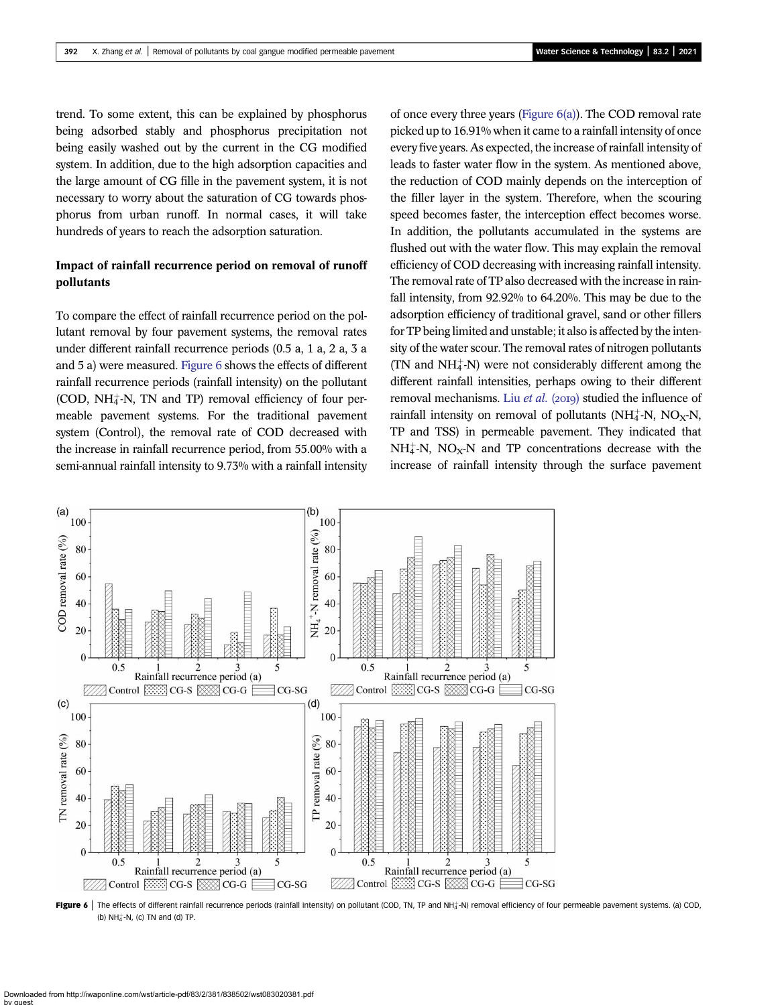<span id="page-11-0"></span>trend. To some extent, this can be explained by phosphorus being adsorbed stably and phosphorus precipitation not being easily washed out by the current in the CG modified system. In addition, due to the high adsorption capacities and the large amount of CG fille in the pavement system, it is not necessary to worry about the saturation of CG towards phosphorus from urban runoff. In normal cases, it will take hundreds of years to reach the adsorption saturation.

## Impact of rainfall recurrence period on removal of runoff pollutants

To compare the effect of rainfall recurrence period on the pollutant removal by four pavement systems, the removal rates under different rainfall recurrence periods (0.5 a, 1 a, 2 a, 3 a and 5 a) were measured. Figure 6 shows the effects of different rainfall recurrence periods (rainfall intensity) on the pollutant (COD, NH<sup>+</sup>-N, TN and TP) removal efficiency of four permeable pavement systems. For the traditional pavement system (Control), the removal rate of COD decreased with the increase in rainfall recurrence period, from 55.00% with a semi-annual rainfall intensity to 9.73% with a rainfall intensity of once every three years (Figure 6(a)). The COD removal rate picked up to 16.91% when it came to a rainfall intensity of once every five years. As expected, the increase of rainfall intensity of leads to faster water flow in the system. As mentioned above, the reduction of COD mainly depends on the interception of the filler layer in the system. Therefore, when the scouring speed becomes faster, the interception effect becomes worse. In addition, the pollutants accumulated in the systems are flushed out with the water flow. This may explain the removal efficiency of COD decreasing with increasing rainfall intensity. The removal rate of TP also decreased with the increase in rainfall intensity, from 92.92% to 64.20%. This may be due to the adsorption efficiency of traditional gravel, sand or other fillers for TP being limited and unstable; it also is affected by the intensity of the water scour. The removal rates of nitrogen pollutants  $(TN$  and  $NH<sub>4</sub><sup>+</sup>-N$ ) were not considerably different among the different rainfall intensities, perhaps owing to their different removal mechanisms. Liu [et al.](#page-14-0) (2019) studied the influence of rainfall intensity on removal of pollutants ( $NH_4^+$ -N,  $NO_X$ -N, TP and TSS) in permeable pavement. They indicated that  $NH_4^+$ -N, NO<sub>X</sub>-N and TP concentrations decrease with the increase of rainfall intensity through the surface pavement



Figure 6 | The effects of different rainfall recurrence periods (rainfall intensity) on pollutant (COD, TN, TP and NH<sub>4</sub>-N) removal efficiency of four permeable pavement systems. (a) COD, (b) NH $_4^+$ -N, (c) TN and (d) TP.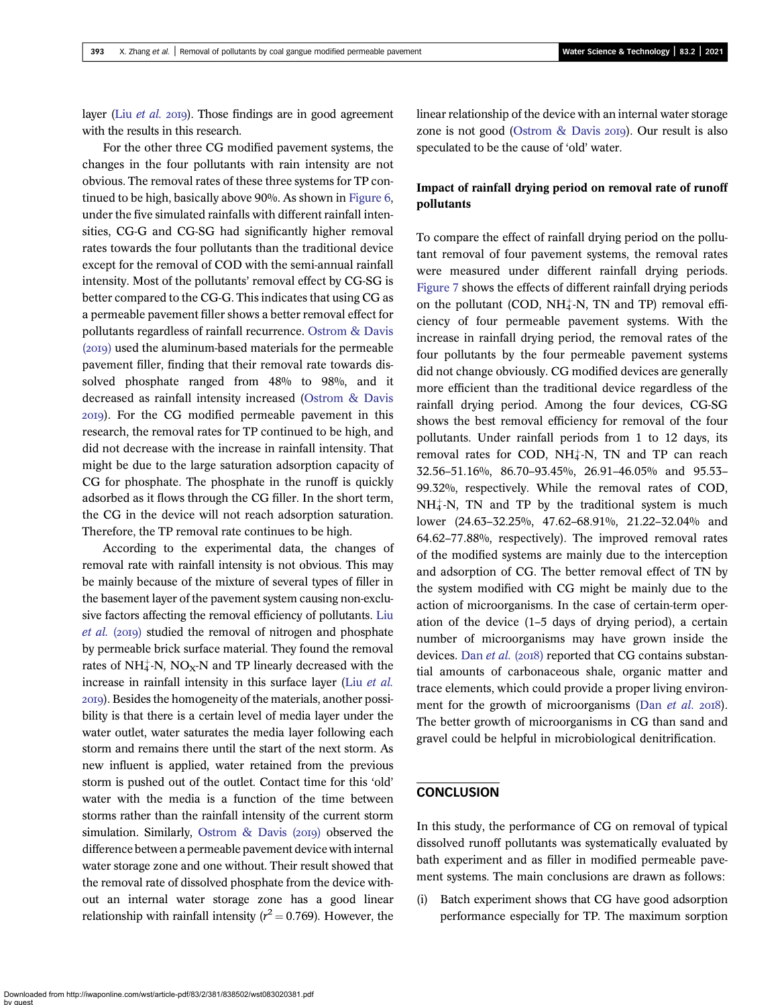layer (Liu [et al.](#page-14-0)  $20I9$ ). Those findings are in good agreement with the results in this research.

For the other three CG modified pavement systems, the changes in the four pollutants with rain intensity are not obvious. The removal rates of these three systems for TP continued to be high, basically above 90%. As shown in [Figure 6,](#page-11-0) under the five simulated rainfalls with different rainfall intensities, CG-G and CG-SG had significantly higher removal rates towards the four pollutants than the traditional device except for the removal of COD with the semi-annual rainfall intensity. Most of the pollutants' removal effect by CG-SG is better compared to the CG-G. This indicates that using CG as a permeable pavement filler shows a better removal effect for pollutants regardless of rainfall recurrence. [Ostrom & Davis](#page-14-0) (2019) used the aluminum-based materials for the permeable pavement filler, finding that their removal rate towards dissolved phosphate ranged from 48% to 98%, and it decreased as rainfall intensity increased [\(Ostrom & Davis](#page-14-0) ). For the CG modified permeable pavement in this research, the removal rates for TP continued to be high, and did not decrease with the increase in rainfall intensity. That might be due to the large saturation adsorption capacity of CG for phosphate. The phosphate in the runoff is quickly adsorbed as it flows through the CG filler. In the short term, the CG in the device will not reach adsorption saturation. Therefore, the TP removal rate continues to be high.

According to the experimental data, the changes of removal rate with rainfall intensity is not obvious. This may be mainly because of the mixture of several types of filler in the basement layer of the pavement system causing non-exclusive factors affecting the removal efficiency of pollutants. [Liu](#page-14-0) [et al.](#page-14-0) (2019) studied the removal of nitrogen and phosphate by permeable brick surface material. They found the removal rates of NH $_4^+$ -N, NO<sub>X</sub>-N and TP linearly decreased with the increase in rainfall intensity in this surface layer (Liu [et al.](#page-14-0) ). Besides the homogeneity of the materials, another possibility is that there is a certain level of media layer under the water outlet, water saturates the media layer following each storm and remains there until the start of the next storm. As new influent is applied, water retained from the previous storm is pushed out of the outlet. Contact time for this 'old' water with the media is a function of the time between storms rather than the rainfall intensity of the current storm simulation. Similarly, Ostrom  $\&$  Davis (2019) observed the difference between a permeable pavement device with internal water storage zone and one without. Their result showed that the removal rate of dissolved phosphate from the device without an internal water storage zone has a good linear relationship with rainfall intensity ( $r^2 = 0.769$ ). However, the linear relationship of the device with an internal water storage zone is not good (Ostrom  $\&$  Davis 2019). Our result is also speculated to be the cause of 'old' water.

## Impact of rainfall drying period on removal rate of runoff pollutants

To compare the effect of rainfall drying period on the pollutant removal of four pavement systems, the removal rates were measured under different rainfall drying periods. [Figure 7](#page-13-0) shows the effects of different rainfall drying periods on the pollutant (COD,  $NH_4^+$ -N, TN and TP) removal efficiency of four permeable pavement systems. With the increase in rainfall drying period, the removal rates of the four pollutants by the four permeable pavement systems did not change obviously. CG modified devices are generally more efficient than the traditional device regardless of the rainfall drying period. Among the four devices, CG-SG shows the best removal efficiency for removal of the four pollutants. Under rainfall periods from 1 to 12 days, its removal rates for COD,  $NH_4^+N$ , TN and TP can reach 32.56–51.16%, 86.70–93.45%, 26.91–46.05% and 95.53– 99.32%, respectively. While the removal rates of COD,  $NH_4^+$ -N, TN and TP by the traditional system is much lower (24.63–32.25%, 47.62–68.91%, 21.22–32.04% and 64.62–77.88%, respectively). The improved removal rates of the modified systems are mainly due to the interception and adsorption of CG. The better removal effect of TN by the system modified with CG might be mainly due to the action of microorganisms. In the case of certain-term operation of the device (1–5 days of drying period), a certain number of microorganisms may have grown inside the devices. Dan  $et$  al. (2018) reported that CG contains substantial amounts of carbonaceous shale, organic matter and trace elements, which could provide a proper living environment for the growth of microorganisms (Dan [et al.](#page-14-0) 2018). The better growth of microorganisms in CG than sand and gravel could be helpful in microbiological denitrification.

## **CONCLUSION**

In this study, the performance of CG on removal of typical dissolved runoff pollutants was systematically evaluated by bath experiment and as filler in modified permeable pavement systems. The main conclusions are drawn as follows:

(i) Batch experiment shows that CG have good adsorption performance especially for TP. The maximum sorption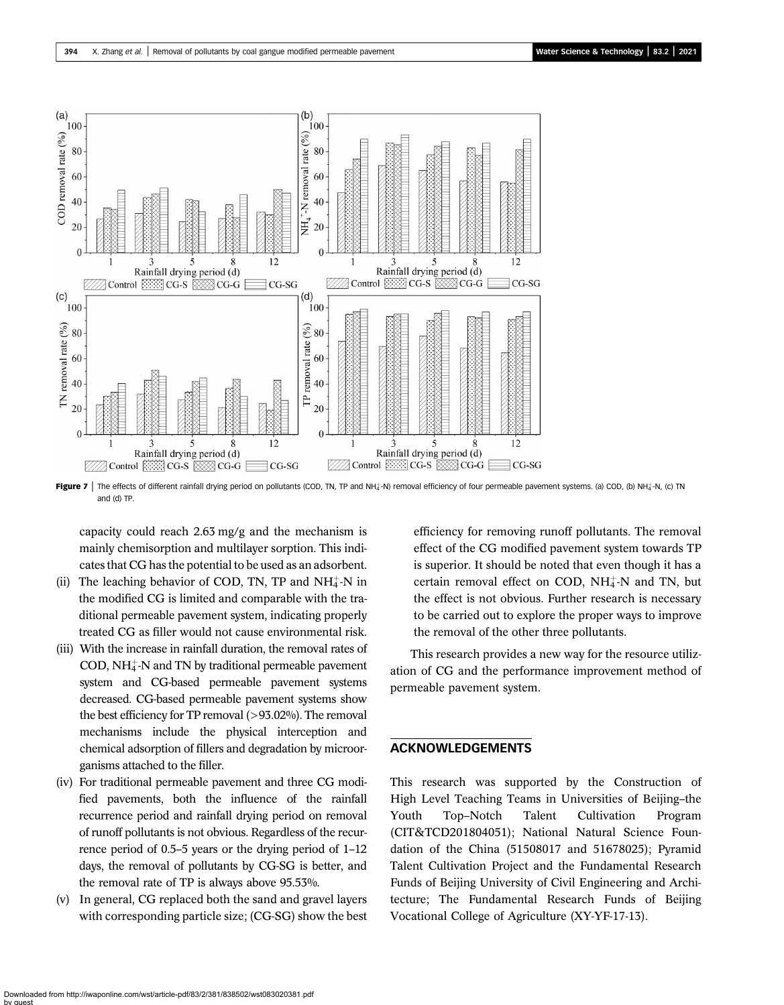<span id="page-13-0"></span>

Figure 7 | The effects of different rainfall drying period on pollutants (COD, TN, TP and NH<sub>4</sub>-N) removal efficiency of four permeable pavement systems. (a) COD, (b) NH<sub>4</sub>-N, (c) TN and (d) TP.

capacity could reach 2.63 mg/g and the mechanism is mainly chemisorption and multilayer sorption. This indicates that CG has the potential to be used as an adsorbent.

- (ii) The leaching behavior of COD, TN, TP and  $NH_4^+$ -N in the modified CG is limited and comparable with the traditional permeable pavement system, indicating properly treated CG as filler would not cause environmental risk.
- (iii) With the increase in rainfall duration, the removal rates of  $\rm{COD}, \rm{NH_4^+N}$  and TN by traditional permeable pavement system and CG-based permeable pavement systems decreased. CG-based permeable pavement systems show the best efficiency for TP removal (>93.02%). The removal mechanisms include the physical interception and chemical adsorption of fillers and degradation by microorganisms attached to the filler.
- (iv) For traditional permeable pavement and three CG modified pavements, both the influence of the rainfall recurrence period and rainfall drying period on removal of runoff pollutants is not obvious. Regardless of the recurrence period of 0.5–5 years or the drying period of 1–12 days, the removal of pollutants by CG-SG is better, and the removal rate of TP is always above 95.53%.
- (v) In general, CG replaced both the sand and gravel layers with corresponding particle size; (CG-SG) show the best

efficiency for removing runoff pollutants. The removal effect of the CG modified pavement system towards TP is superior. It should be noted that even though it has a certain removal effect on COD,  $NH_4^+$ -N and TN, but the effect is not obvious. Further research is necessary to be carried out to explore the proper ways to improve the removal of the other three pollutants.

This research provides a new way for the resource utilization of CG and the performance improvement method of permeable pavement system.

## ACKNOWLEDGEMENTS

This research was supported by the Construction of High Level Teaching Teams in Universities of Beijing–the Youth Top–Notch Talent Cultivation Program (CIT&TCD201804051); National Natural Science Foundation of the China (51508017 and 51678025); Pyramid Talent Cultivation Project and the Fundamental Research Funds of Beijing University of Civil Engineering and Architecture; The Fundamental Research Funds of Beijing Vocational College of Agriculture (XY-YF-17-13).